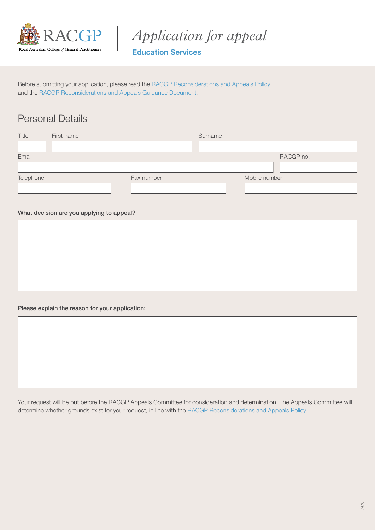

*Application for appeal*

## Education Services

Before submitting your application, please read the [RACGP Reconsiderations and Appeals Policy](https://www.racgp.org.au/education/registrars/fellowship-pathways/policy-framework/policies/reconsiderations-and-appeals)  and the [RACGP Reconsiderations and Appeals Guidance Document.](https://www.racgp.org.au/education/registrars/fellowship-pathways/policy-framework/guidance-documents/reconsiderations-and-appeals)

## Personal Details

| Title     | First name |            | Surname |               |
|-----------|------------|------------|---------|---------------|
|           |            |            |         |               |
| Email     |            |            |         | RACGP no.     |
|           |            |            |         |               |
| Telephone |            | Fax number |         | Mobile number |
|           |            |            |         |               |

## What decision are you applying to appeal?

Please explain the reason for your application:

Your request will be put before the RACGP Appeals Committee for consideration and determination. The Appeals Committee will determine whether grounds exist for your request, in line with the [RACGP Reconsiderations and Appeals Policy.](https://www.racgp.org.au/education/registrars/fellowship-pathways/policy-framework/policies/reconsiderations-and-appeals)